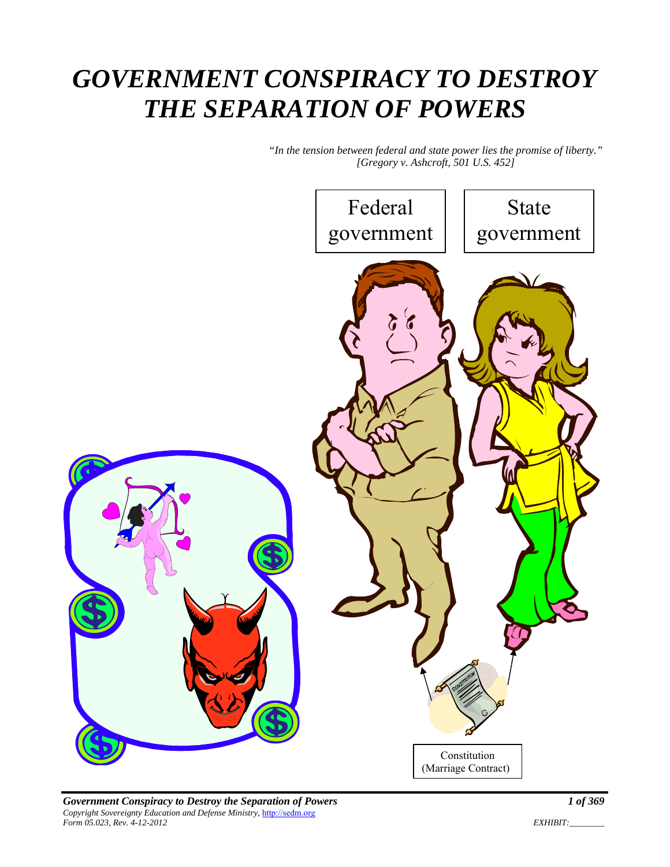# *GOVERNMENT CONSPIRACY TO DESTROY THE SEPARATION OF POWERS*

*"In the tension between federal and state power lies the promise of liberty." [Gregory v. Ashcroft, 501 U.S. 452]* 



*Government Conspiracy to Destroy the Separation of Powers 1 of 369 Copyright Sovereignty Education and Defense Ministry,* http://sedm.org *Form 05.023, Rev. 4-12-2012 EXHIBIT:\_\_\_\_\_\_\_\_* 

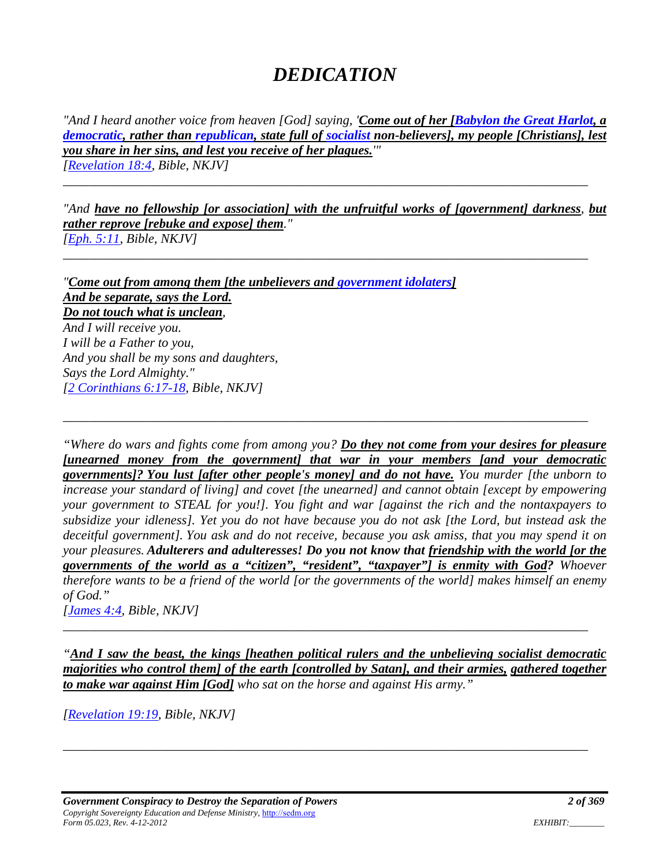# *DEDICATION*

*"And I heard another voice from heaven [God] saying, 'Come out of her [Babylon the Great Harlot, a democratic, rather than republican, state full of socialist non-believers], my people [Christians], lest you share in her sins, and lest you receive of her plagues.'" [Revelation 18:4, Bible, NKJV]* 

*\_\_\_\_\_\_\_\_\_\_\_\_\_\_\_\_\_\_\_\_\_\_\_\_\_\_\_\_\_\_\_\_\_\_\_\_\_\_\_\_\_\_\_\_\_\_\_\_\_\_\_\_\_\_\_\_\_\_\_\_\_\_\_\_\_\_\_\_\_\_\_\_\_\_\_\_\_\_\_\_*

*\_\_\_\_\_\_\_\_\_\_\_\_\_\_\_\_\_\_\_\_\_\_\_\_\_\_\_\_\_\_\_\_\_\_\_\_\_\_\_\_\_\_\_\_\_\_\_\_\_\_\_\_\_\_\_\_\_\_\_\_\_\_\_\_\_\_\_\_\_\_\_\_\_\_\_\_\_\_\_\_*

*"And have no fellowship [or association] with the unfruitful works of [government] darkness, but rather reprove [rebuke and expose] them." [Eph. 5:11, Bible, NKJV]* 

*"Come out from among them [the unbelievers and government idolaters] And be separate, says the Lord. Do not touch what is unclean, And I will receive you. I will be a Father to you, And you shall be my sons and daughters, Says the Lord Almighty." [2 Corinthians 6:17-18, Bible, NKJV]* 

*"Where do wars and fights come from among you? Do they not come from your desires for pleasure [unearned money from the government] that war in your members [and your democratic governments]? You lust [after other people's money] and do not have. You murder [the unborn to increase your standard of living] and covet [the unearned] and cannot obtain [except by empowering your government to STEAL for you!]. You fight and war [against the rich and the nontaxpayers to subsidize your idleness]. Yet you do not have because you do not ask [the Lord, but instead ask the deceitful government]. You ask and do not receive, because you ask amiss, that you may spend it on your pleasures. Adulterers and adulteresses! Do you not know that friendship with the world [or the governments of the world as a "citizen", "resident", "taxpayer"] is enmity with God? Whoever therefore wants to be a friend of the world [or the governments of the world] makes himself an enemy of God."* 

*\_\_\_\_\_\_\_\_\_\_\_\_\_\_\_\_\_\_\_\_\_\_\_\_\_\_\_\_\_\_\_\_\_\_\_\_\_\_\_\_\_\_\_\_\_\_\_\_\_\_\_\_\_\_\_\_\_\_\_\_\_\_\_\_\_\_\_\_\_\_\_\_\_\_\_\_\_\_\_\_*

*[James 4:4, Bible, NKJV]* 

*"And I saw the beast, the kings [heathen political rulers and the unbelieving socialist democratic majorities who control them] of the earth [controlled by Satan], and their armies, gathered together to make war against Him [God] who sat on the horse and against His army."* 

*\_\_\_\_\_\_\_\_\_\_\_\_\_\_\_\_\_\_\_\_\_\_\_\_\_\_\_\_\_\_\_\_\_\_\_\_\_\_\_\_\_\_\_\_\_\_\_\_\_\_\_\_\_\_\_\_\_\_\_\_\_\_\_\_\_\_\_\_\_\_\_\_\_\_\_\_\_\_\_\_*

*\_\_\_\_\_\_\_\_\_\_\_\_\_\_\_\_\_\_\_\_\_\_\_\_\_\_\_\_\_\_\_\_\_\_\_\_\_\_\_\_\_\_\_\_\_\_\_\_\_\_\_\_\_\_\_\_\_\_\_\_\_\_\_\_\_\_\_\_\_\_\_\_\_\_\_\_\_\_\_\_*

*[Revelation 19:19, Bible, NKJV]*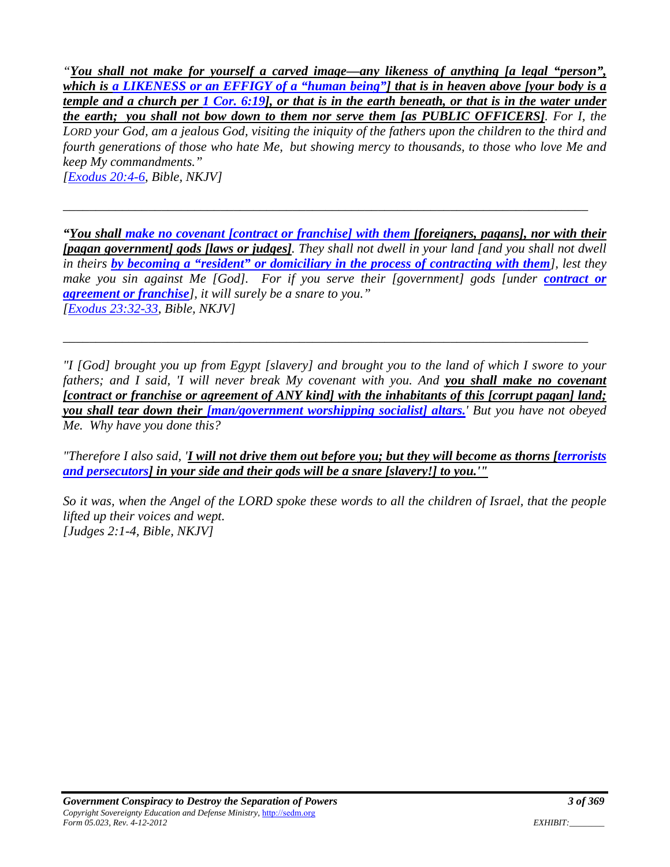*"You shall not make for yourself a carved image—any likeness of anything [a legal "person", which is a LIKENESS or an EFFIGY of a "human being"] that is in heaven above [your body is a temple and a church per 1 Cor. 6:19], or that is in the earth beneath, or that is in the water under the earth; you shall not bow down to them nor serve them [as PUBLIC OFFICERS]. For I, the LORD your God, am a jealous God, visiting the iniquity of the fathers upon the children to the third and fourth generations of those who hate Me, but showing mercy to thousands, to those who love Me and keep My commandments." [Exodus 20:4-6, Bible, NKJV]* 

*"You shall make no covenant [contract or franchise] with them [foreigners, pagans], nor with their [pagan government] gods [laws or judges]. They shall not dwell in your land [and you shall not dwell in theirs by becoming a "resident" or domiciliary in the process of contracting with them], lest they make you sin against Me [God]. For if you serve their [government] gods [under contract or agreement or franchise], it will surely be a snare to you." [Exodus 23:32-33, Bible, NKJV]* 

*\_\_\_\_\_\_\_\_\_\_\_\_\_\_\_\_\_\_\_\_\_\_\_\_\_\_\_\_\_\_\_\_\_\_\_\_\_\_\_\_\_\_\_\_\_\_\_\_\_\_\_\_\_\_\_\_\_\_\_\_\_\_\_\_\_\_\_\_\_\_\_\_\_\_\_\_\_\_\_\_*

*"I [God] brought you up from Egypt [slavery] and brought you to the land of which I swore to your fathers; and I said, 'I will never break My covenant with you. And you shall make no covenant [contract or franchise or agreement of ANY kind] with the inhabitants of this [corrupt pagan] land; you shall tear down their [man/government worshipping socialist] altars.' But you have not obeyed Me. Why have you done this?* 

*\_\_\_\_\_\_\_\_\_\_\_\_\_\_\_\_\_\_\_\_\_\_\_\_\_\_\_\_\_\_\_\_\_\_\_\_\_\_\_\_\_\_\_\_\_\_\_\_\_\_\_\_\_\_\_\_\_\_\_\_\_\_\_\_\_\_\_\_\_\_\_\_\_\_\_\_\_\_\_\_*

*"Therefore I also said, 'I will not drive them out before you; but they will become as thorns [terrorists and persecutors] in your side and their gods will be a snare [slavery!] to you.'"* 

*So it was, when the Angel of the LORD spoke these words to all the children of Israel, that the people lifted up their voices and wept. [Judges 2:1-4, Bible, NKJV]*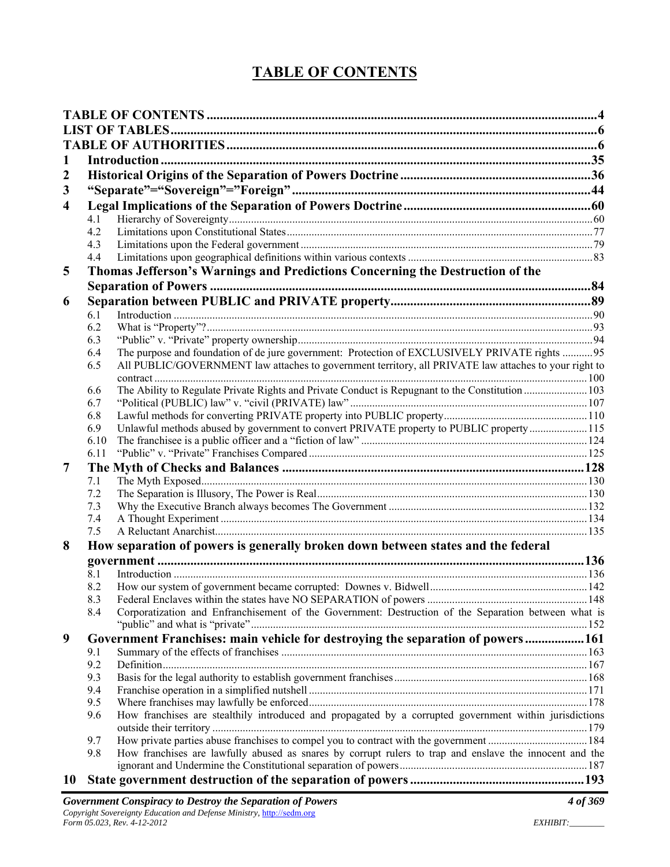## **TABLE OF CONTENTS**

| 1                       |                                                                                  |                                                                                                         |  |
|-------------------------|----------------------------------------------------------------------------------|---------------------------------------------------------------------------------------------------------|--|
| 2                       |                                                                                  |                                                                                                         |  |
| 3                       |                                                                                  |                                                                                                         |  |
| $\overline{\mathbf{4}}$ |                                                                                  |                                                                                                         |  |
|                         | 4.1                                                                              |                                                                                                         |  |
|                         | 4.2                                                                              |                                                                                                         |  |
|                         | 4.3                                                                              |                                                                                                         |  |
|                         | 4.4                                                                              |                                                                                                         |  |
| 5                       |                                                                                  | Thomas Jefferson's Warnings and Predictions Concerning the Destruction of the                           |  |
|                         |                                                                                  |                                                                                                         |  |
| 6                       |                                                                                  |                                                                                                         |  |
|                         | 6.1                                                                              |                                                                                                         |  |
|                         | 6.2                                                                              |                                                                                                         |  |
|                         | 6.3                                                                              |                                                                                                         |  |
|                         | 6.4                                                                              | The purpose and foundation of de jure government: Protection of EXCLUSIVELY PRIVATE rights 95           |  |
|                         | 6.5                                                                              | All PUBLIC/GOVERNMENT law attaches to government territory, all PRIVATE law attaches to your right to   |  |
|                         |                                                                                  |                                                                                                         |  |
|                         | 6.6                                                                              | The Ability to Regulate Private Rights and Private Conduct is Repugnant to the Constitution  103        |  |
|                         | 6.7                                                                              |                                                                                                         |  |
|                         | 6.8<br>6.9                                                                       | Unlawful methods abused by government to convert PRIVATE property to PUBLIC property115                 |  |
|                         | 6.10                                                                             |                                                                                                         |  |
|                         | 6.11                                                                             |                                                                                                         |  |
| 7                       |                                                                                  |                                                                                                         |  |
|                         | 7.1                                                                              |                                                                                                         |  |
|                         | 7.2                                                                              |                                                                                                         |  |
|                         | 7.3                                                                              |                                                                                                         |  |
|                         | 7.4                                                                              |                                                                                                         |  |
|                         | 7.5                                                                              |                                                                                                         |  |
| 8                       | How separation of powers is generally broken down between states and the federal |                                                                                                         |  |
|                         |                                                                                  |                                                                                                         |  |
|                         | 8.1                                                                              |                                                                                                         |  |
|                         | 8.2                                                                              |                                                                                                         |  |
|                         |                                                                                  |                                                                                                         |  |
|                         | 8.4                                                                              | Corporatization and Enfranchisement of the Government: Destruction of the Separation between what is    |  |
|                         |                                                                                  |                                                                                                         |  |
| 9                       |                                                                                  | Government Franchises: main vehicle for destroying the separation of powers161                          |  |
|                         | 9.1                                                                              |                                                                                                         |  |
|                         | 9.2                                                                              |                                                                                                         |  |
|                         | 9.3<br>9.4                                                                       |                                                                                                         |  |
|                         | 9.5                                                                              |                                                                                                         |  |
|                         | 9.6                                                                              | How franchises are stealthily introduced and propagated by a corrupted government within jurisdictions  |  |
|                         |                                                                                  |                                                                                                         |  |
|                         | 9.7                                                                              |                                                                                                         |  |
|                         | 9.8                                                                              | How franchises are lawfully abused as snares by corrupt rulers to trap and enslave the innocent and the |  |
|                         |                                                                                  |                                                                                                         |  |
| 10                      |                                                                                  |                                                                                                         |  |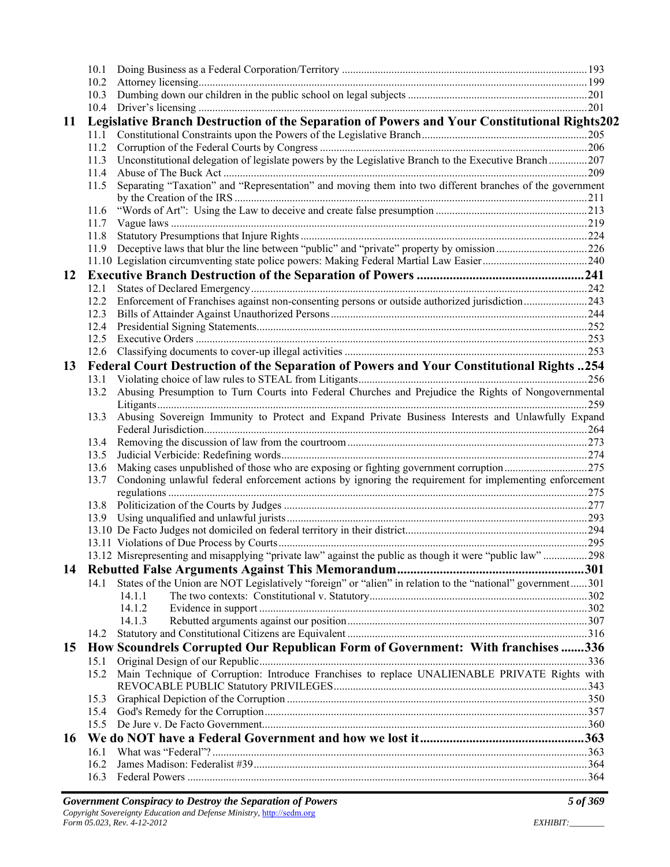| 11 | Legislative Branch Destruction of the Separation of Powers and Your Constitutional Rights202 |                                                                                                            |  |
|----|----------------------------------------------------------------------------------------------|------------------------------------------------------------------------------------------------------------|--|
|    |                                                                                              |                                                                                                            |  |
|    |                                                                                              |                                                                                                            |  |
|    |                                                                                              | 11.3 Unconstitutional delegation of legislate powers by the Legislative Branch to the Executive Branch207  |  |
|    | 11.4                                                                                         |                                                                                                            |  |
|    | 11.5                                                                                         | Separating "Taxation" and "Representation" and moving them into two different branches of the government   |  |
|    |                                                                                              |                                                                                                            |  |
|    |                                                                                              |                                                                                                            |  |
|    | 11.7                                                                                         |                                                                                                            |  |
|    | 11.8                                                                                         |                                                                                                            |  |
|    | 11.9                                                                                         |                                                                                                            |  |
|    |                                                                                              |                                                                                                            |  |
| 12 |                                                                                              |                                                                                                            |  |
|    | 12.1                                                                                         |                                                                                                            |  |
|    | 12.2                                                                                         | Enforcement of Franchises against non-consenting persons or outside authorized jurisdiction243             |  |
|    |                                                                                              |                                                                                                            |  |
|    |                                                                                              |                                                                                                            |  |
|    | 12.5                                                                                         |                                                                                                            |  |
|    |                                                                                              |                                                                                                            |  |
|    |                                                                                              |                                                                                                            |  |
| 13 |                                                                                              | Federal Court Destruction of the Separation of Powers and Your Constitutional Rights 254                   |  |
|    | 13.1                                                                                         |                                                                                                            |  |
|    | 13.2                                                                                         | Abusing Presumption to Turn Courts into Federal Churches and Prejudice the Rights of Nongovernmental       |  |
|    |                                                                                              |                                                                                                            |  |
|    | 13.3                                                                                         | Abusing Sovereign Immunity to Protect and Expand Private Business Interests and Unlawfully Expand          |  |
|    |                                                                                              |                                                                                                            |  |
|    |                                                                                              |                                                                                                            |  |
|    | 13.5                                                                                         |                                                                                                            |  |
|    | 13.6                                                                                         |                                                                                                            |  |
|    | 13.7                                                                                         | Condoning unlawful federal enforcement actions by ignoring the requirement for implementing enforcement    |  |
|    |                                                                                              |                                                                                                            |  |
|    |                                                                                              |                                                                                                            |  |
|    |                                                                                              |                                                                                                            |  |
|    |                                                                                              |                                                                                                            |  |
|    |                                                                                              |                                                                                                            |  |
|    |                                                                                              | 13.12 Misrepresenting and misapplying "private law" against the public as though it were "public law" 298  |  |
| 14 |                                                                                              |                                                                                                            |  |
|    | 14.1                                                                                         | States of the Union are NOT Legislatively "foreign" or "alien" in relation to the "national" government301 |  |
|    |                                                                                              | 14.1.1                                                                                                     |  |
|    |                                                                                              | 14.1.2                                                                                                     |  |
|    |                                                                                              | 14.1.3                                                                                                     |  |
|    | 14.2                                                                                         |                                                                                                            |  |
| 15 |                                                                                              | How Scoundrels Corrupted Our Republican Form of Government: With franchises 336                            |  |
|    | 15.1                                                                                         |                                                                                                            |  |
|    | 15.2                                                                                         | Main Technique of Corruption: Introduce Franchises to replace UNALIENABLE PRIVATE Rights with              |  |
|    |                                                                                              |                                                                                                            |  |
|    | 15.3                                                                                         |                                                                                                            |  |
|    |                                                                                              |                                                                                                            |  |
|    | 15.4                                                                                         |                                                                                                            |  |
|    | 15.5                                                                                         |                                                                                                            |  |
| 16 |                                                                                              |                                                                                                            |  |
|    | 16.1                                                                                         |                                                                                                            |  |
|    | 16.2                                                                                         |                                                                                                            |  |
|    | 16.3                                                                                         |                                                                                                            |  |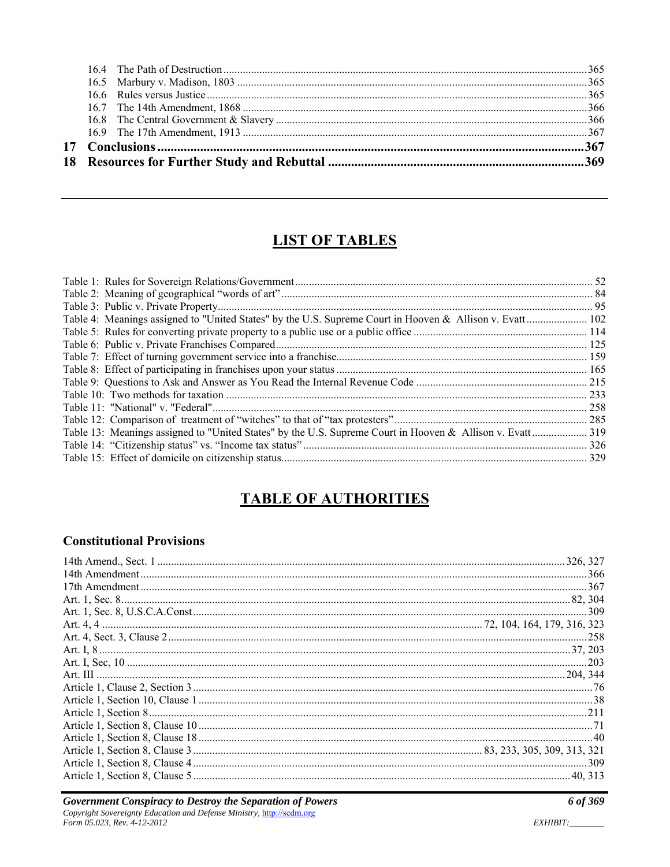## **LIST OF TABLES**

| Table 4: Meanings assigned to "United States" by the U.S. Supreme Court in Hooven & Allison v. Evatt  102 |  |
|-----------------------------------------------------------------------------------------------------------|--|
|                                                                                                           |  |
|                                                                                                           |  |
|                                                                                                           |  |
|                                                                                                           |  |
|                                                                                                           |  |
|                                                                                                           |  |
|                                                                                                           |  |
|                                                                                                           |  |
| Table 13: Meanings assigned to "United States" by the U.S. Supreme Court in Hooven & Allison v. Evatt 319 |  |
|                                                                                                           |  |
|                                                                                                           |  |
|                                                                                                           |  |

### **TABLE OF AUTHORITIES**

#### **Constitutional Provisions**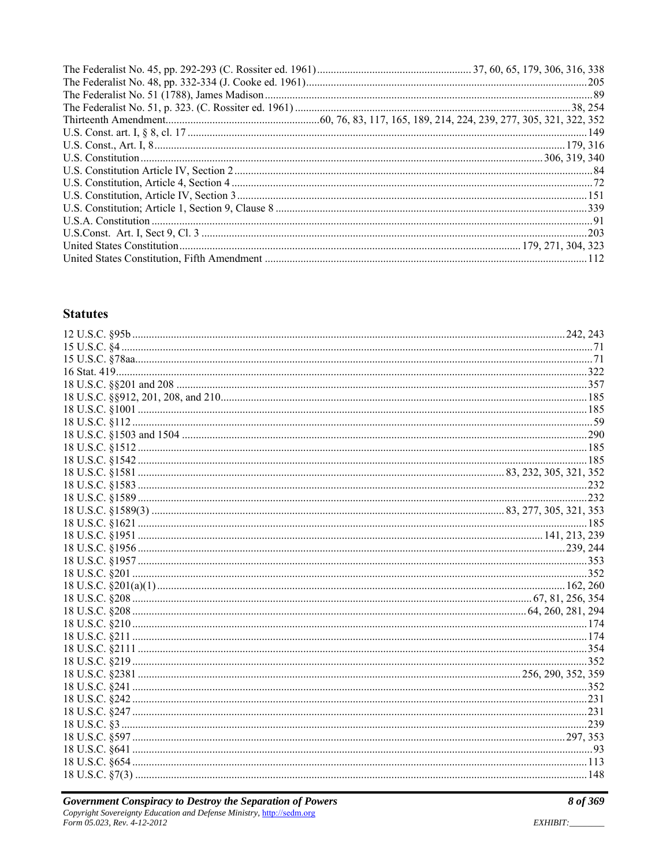#### **Statutes**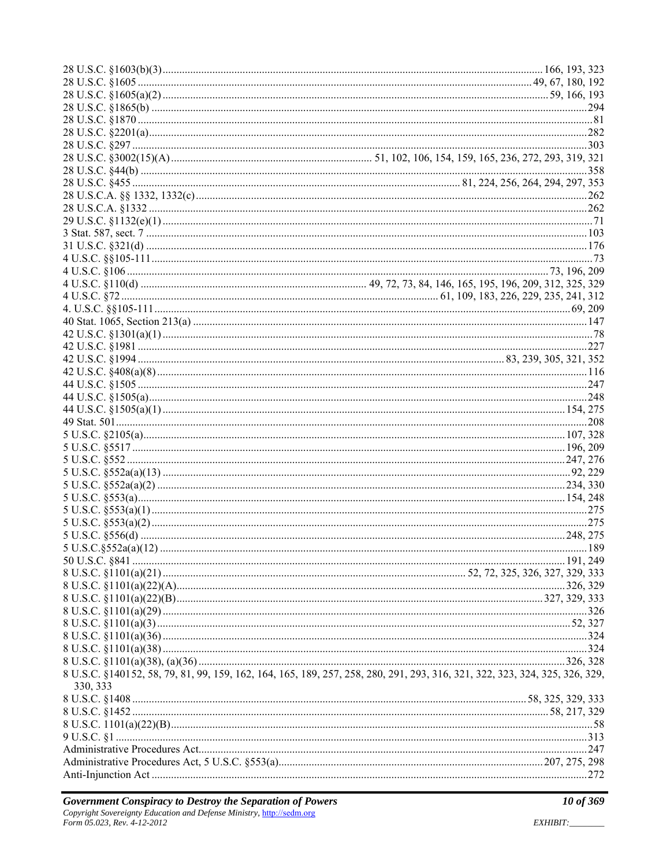| 8 U.S.C. §140152, 58, 79, 81, 99, 159, 162, 164, 165, 189, 257, 258, 280, 291, 293, 316, 321, 322, 323, 324, 325, 326, 329, |  |
|-----------------------------------------------------------------------------------------------------------------------------|--|
| 330, 333                                                                                                                    |  |
|                                                                                                                             |  |
|                                                                                                                             |  |
|                                                                                                                             |  |
|                                                                                                                             |  |
|                                                                                                                             |  |
|                                                                                                                             |  |
|                                                                                                                             |  |
|                                                                                                                             |  |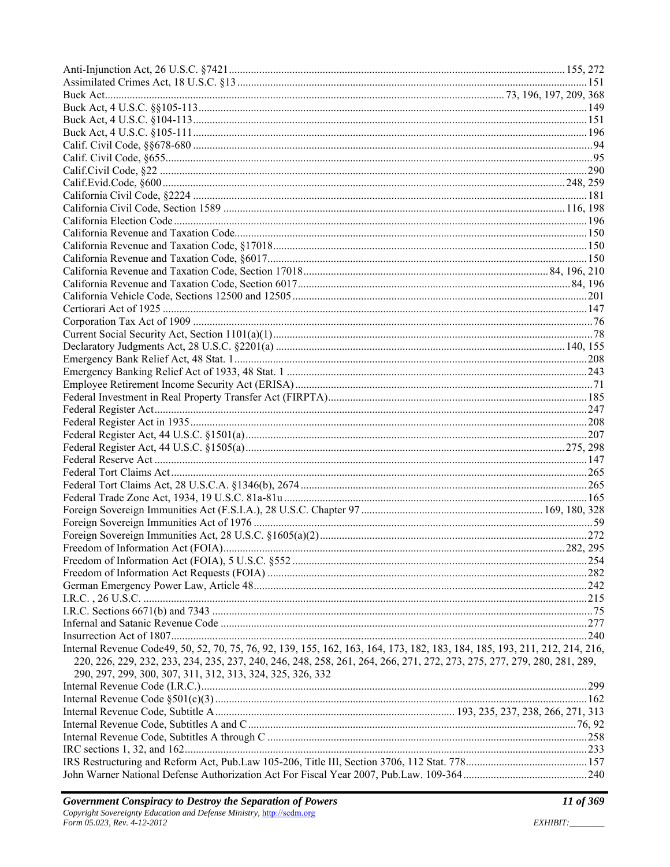| Internal Revenue Code49, 50, 52, 70, 75, 76, 92, 139, 155, 162, 163, 164, 173, 182, 183, 184, 185, 193, 211, 212, 214, 216, |  |
|-----------------------------------------------------------------------------------------------------------------------------|--|
| 220, 226, 229, 232, 233, 234, 235, 237, 240, 246, 248, 258, 261, 264, 266, 271, 272, 273, 275, 277, 279, 280, 281, 289,     |  |
| 290, 297, 299, 300, 307, 311, 312, 313, 324, 325, 326, 332                                                                  |  |
|                                                                                                                             |  |
|                                                                                                                             |  |
|                                                                                                                             |  |
|                                                                                                                             |  |
|                                                                                                                             |  |
|                                                                                                                             |  |
|                                                                                                                             |  |
|                                                                                                                             |  |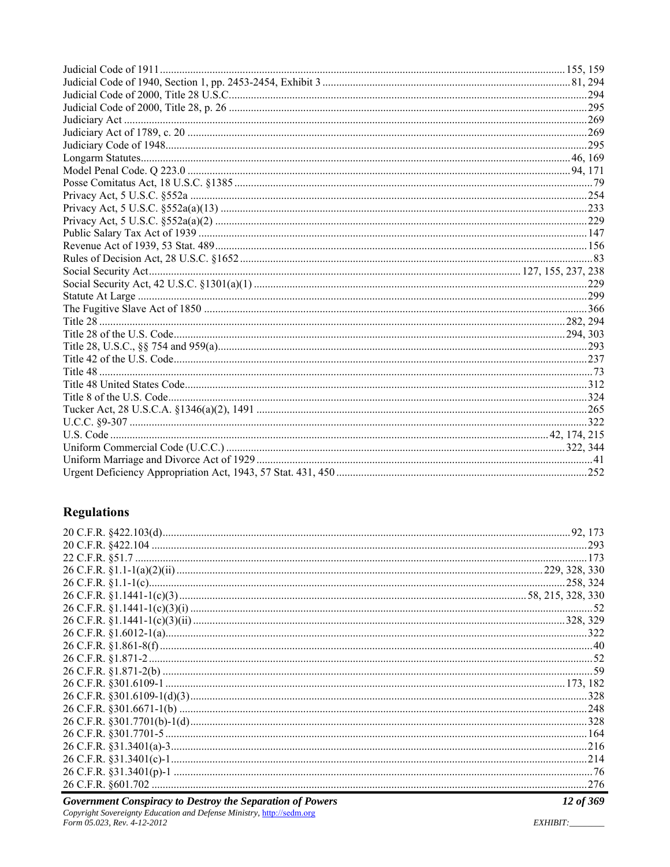#### **Regulations**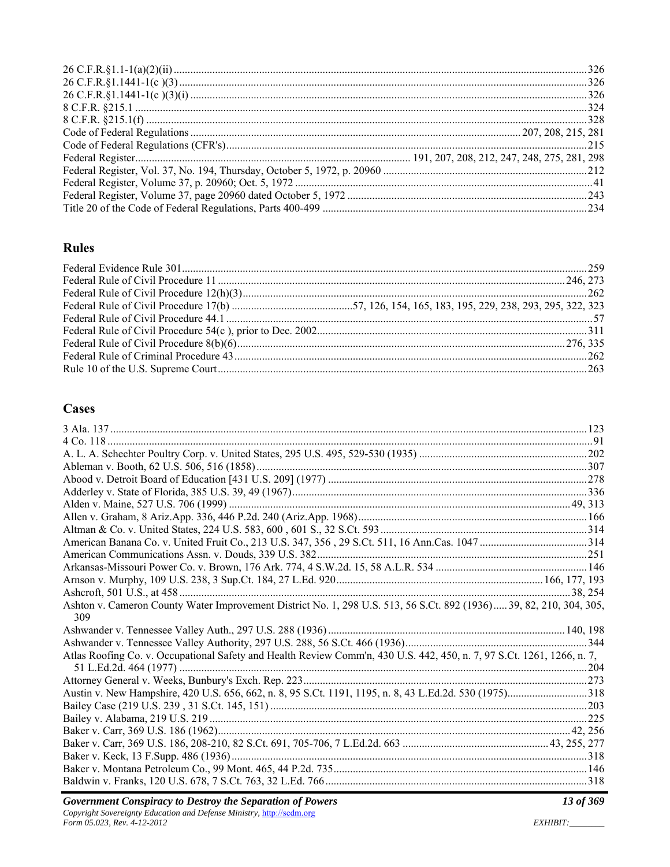#### **Rules**

#### **Cases**

| Ashton v. Cameron County Water Improvement District No. 1, 298 U.S. 513, 56 S.Ct. 892 (1936) 39, 82, 210, 304, 305,    |  |
|------------------------------------------------------------------------------------------------------------------------|--|
|                                                                                                                        |  |
| 309                                                                                                                    |  |
|                                                                                                                        |  |
|                                                                                                                        |  |
| Atlas Roofing Co. v. Occupational Safety and Health Review Comm'n, 430 U.S. 442, 450, n. 7, 97 S.Ct. 1261, 1266, n. 7, |  |
|                                                                                                                        |  |
|                                                                                                                        |  |
| Austin v. New Hampshire, 420 U.S. 656, 662, n. 8, 95 S.Ct. 1191, 1195, n. 8, 43 L.Ed.2d. 530 (1975)318                 |  |
|                                                                                                                        |  |
|                                                                                                                        |  |
|                                                                                                                        |  |
|                                                                                                                        |  |
|                                                                                                                        |  |
|                                                                                                                        |  |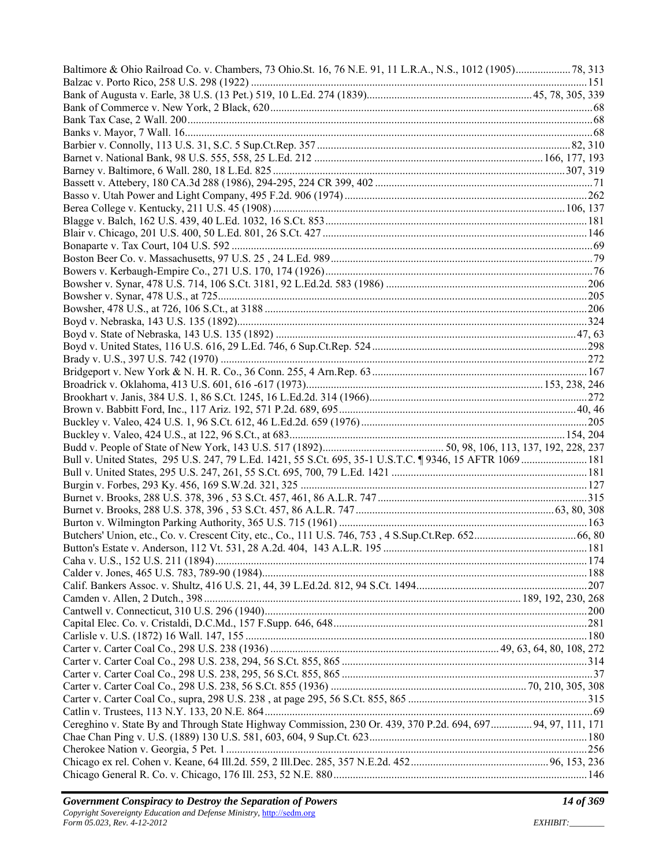| Bull v. United States, 295 U.S. 247, 79 L.Ed. 1421, 55 S.Ct. 695, 35-1 U.S.T.C. 19346, 15 AFTR 1069  181     |  |
|--------------------------------------------------------------------------------------------------------------|--|
|                                                                                                              |  |
|                                                                                                              |  |
|                                                                                                              |  |
|                                                                                                              |  |
|                                                                                                              |  |
|                                                                                                              |  |
|                                                                                                              |  |
|                                                                                                              |  |
|                                                                                                              |  |
|                                                                                                              |  |
|                                                                                                              |  |
|                                                                                                              |  |
|                                                                                                              |  |
|                                                                                                              |  |
|                                                                                                              |  |
|                                                                                                              |  |
|                                                                                                              |  |
|                                                                                                              |  |
|                                                                                                              |  |
|                                                                                                              |  |
| Cereghino v. State By and Through State Highway Commission, 230 Or. 439, 370 P.2d. 694, 697 94, 97, 111, 171 |  |
|                                                                                                              |  |
|                                                                                                              |  |
|                                                                                                              |  |
|                                                                                                              |  |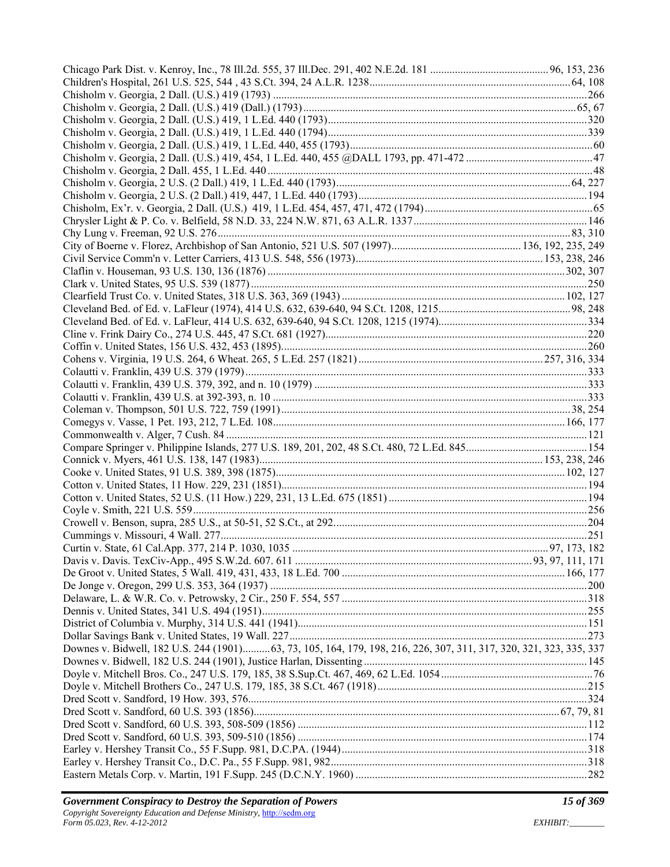| Downes v. Bidwell, 182 U.S. 244 (1901) 63, 73, 105, 164, 179, 198, 216, 226, 307, 311, 317, 320, 321, 323, 335, 337 |  |
|---------------------------------------------------------------------------------------------------------------------|--|
|                                                                                                                     |  |
|                                                                                                                     |  |
|                                                                                                                     |  |
|                                                                                                                     |  |
|                                                                                                                     |  |
|                                                                                                                     |  |
|                                                                                                                     |  |
|                                                                                                                     |  |
|                                                                                                                     |  |
|                                                                                                                     |  |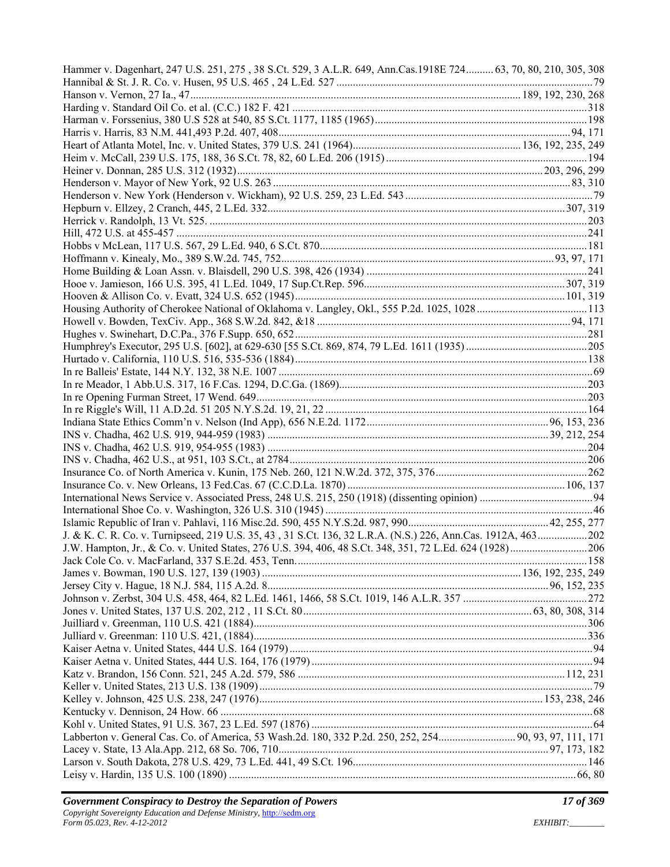| Hammer v. Dagenhart, 247 U.S. 251, 275, 38 S.Ct. 529, 3 A.L.R. 649, Ann.Cas.1918E 724 63, 70, 80, 210, 305, 308 |  |
|-----------------------------------------------------------------------------------------------------------------|--|
|                                                                                                                 |  |
|                                                                                                                 |  |
|                                                                                                                 |  |
|                                                                                                                 |  |
|                                                                                                                 |  |
|                                                                                                                 |  |
|                                                                                                                 |  |
|                                                                                                                 |  |
|                                                                                                                 |  |
|                                                                                                                 |  |
|                                                                                                                 |  |
|                                                                                                                 |  |
|                                                                                                                 |  |
|                                                                                                                 |  |
|                                                                                                                 |  |
|                                                                                                                 |  |
|                                                                                                                 |  |
|                                                                                                                 |  |
|                                                                                                                 |  |
|                                                                                                                 |  |
|                                                                                                                 |  |
|                                                                                                                 |  |
|                                                                                                                 |  |
|                                                                                                                 |  |
|                                                                                                                 |  |
|                                                                                                                 |  |
|                                                                                                                 |  |
|                                                                                                                 |  |
|                                                                                                                 |  |
|                                                                                                                 |  |
|                                                                                                                 |  |
|                                                                                                                 |  |
|                                                                                                                 |  |
|                                                                                                                 |  |
|                                                                                                                 |  |
| J. & K. C. R. Co. v. Turnipseed, 219 U.S. 35, 43, 31 S.Ct. 136, 32 L.R.A. (N.S.) 226, Ann.Cas. 1912A, 463202    |  |
|                                                                                                                 |  |
|                                                                                                                 |  |
|                                                                                                                 |  |
|                                                                                                                 |  |
|                                                                                                                 |  |
|                                                                                                                 |  |
|                                                                                                                 |  |
|                                                                                                                 |  |
|                                                                                                                 |  |
|                                                                                                                 |  |
|                                                                                                                 |  |
|                                                                                                                 |  |
|                                                                                                                 |  |
|                                                                                                                 |  |
|                                                                                                                 |  |
|                                                                                                                 |  |
|                                                                                                                 |  |
|                                                                                                                 |  |
|                                                                                                                 |  |
|                                                                                                                 |  |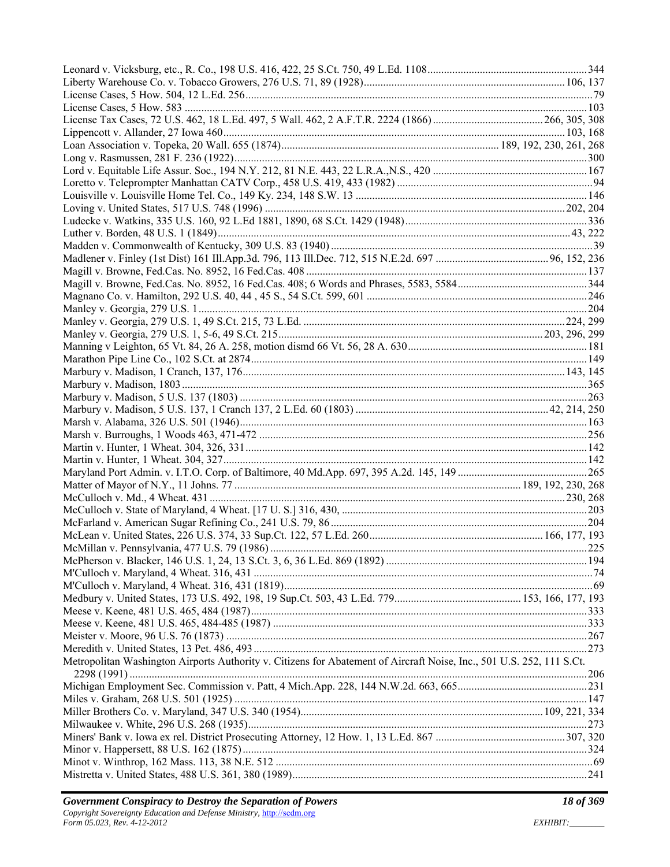| Metropolitan Washington Airports Authority v. Citizens for Abatement of Aircraft Noise, Inc., 501 U.S. 252, 111 S.Ct. |  |
|-----------------------------------------------------------------------------------------------------------------------|--|
|                                                                                                                       |  |
|                                                                                                                       |  |
|                                                                                                                       |  |
|                                                                                                                       |  |
|                                                                                                                       |  |
|                                                                                                                       |  |
|                                                                                                                       |  |
|                                                                                                                       |  |
|                                                                                                                       |  |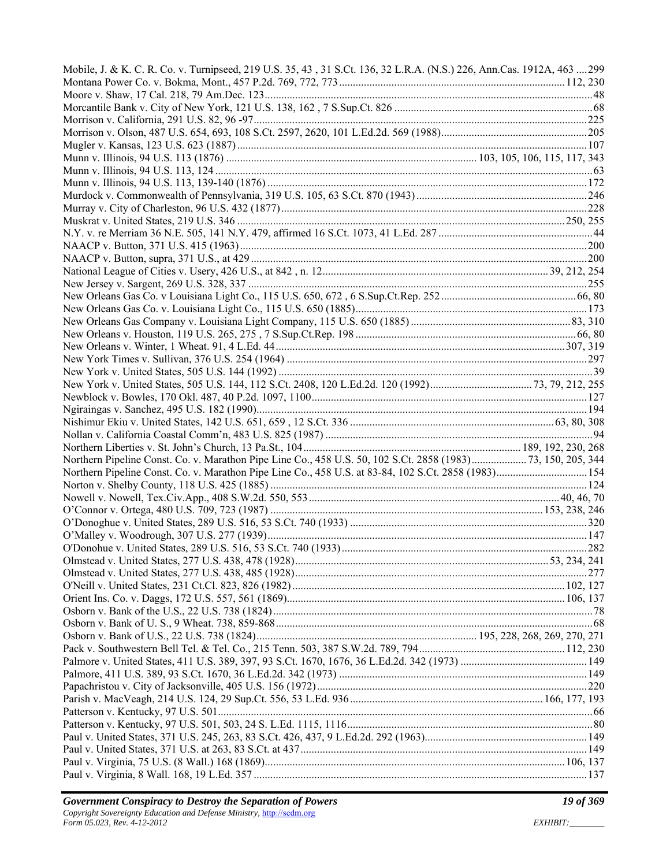| Mobile, J. & K. C. R. Co. v. Turnipseed, 219 U.S. 35, 43, 31 S.Ct. 136, 32 L.R.A. (N.S.) 226, Ann.Cas. 1912A, 463 299 |  |
|-----------------------------------------------------------------------------------------------------------------------|--|
|                                                                                                                       |  |
|                                                                                                                       |  |
|                                                                                                                       |  |
|                                                                                                                       |  |
|                                                                                                                       |  |
|                                                                                                                       |  |
|                                                                                                                       |  |
|                                                                                                                       |  |
|                                                                                                                       |  |
|                                                                                                                       |  |
|                                                                                                                       |  |
|                                                                                                                       |  |
|                                                                                                                       |  |
|                                                                                                                       |  |
|                                                                                                                       |  |
|                                                                                                                       |  |
|                                                                                                                       |  |
|                                                                                                                       |  |
|                                                                                                                       |  |
|                                                                                                                       |  |
|                                                                                                                       |  |
|                                                                                                                       |  |
|                                                                                                                       |  |
|                                                                                                                       |  |
|                                                                                                                       |  |
|                                                                                                                       |  |
|                                                                                                                       |  |
|                                                                                                                       |  |
|                                                                                                                       |  |
|                                                                                                                       |  |
| Northern Pipeline Const. Co. v. Marathon Pipe Line Co., 458 U.S. 50, 102 S.Ct. 2858 (1983) 73, 150, 205, 344          |  |
| Northern Pipeline Const. Co. v. Marathon Pipe Line Co., 458 U.S. at 83-84, 102 S.Ct. 2858 (1983) 154                  |  |
|                                                                                                                       |  |
|                                                                                                                       |  |
|                                                                                                                       |  |
|                                                                                                                       |  |
|                                                                                                                       |  |
|                                                                                                                       |  |
|                                                                                                                       |  |
|                                                                                                                       |  |
|                                                                                                                       |  |
|                                                                                                                       |  |
|                                                                                                                       |  |
|                                                                                                                       |  |
|                                                                                                                       |  |
|                                                                                                                       |  |
|                                                                                                                       |  |
|                                                                                                                       |  |
|                                                                                                                       |  |
|                                                                                                                       |  |
|                                                                                                                       |  |
|                                                                                                                       |  |
|                                                                                                                       |  |
|                                                                                                                       |  |
|                                                                                                                       |  |
|                                                                                                                       |  |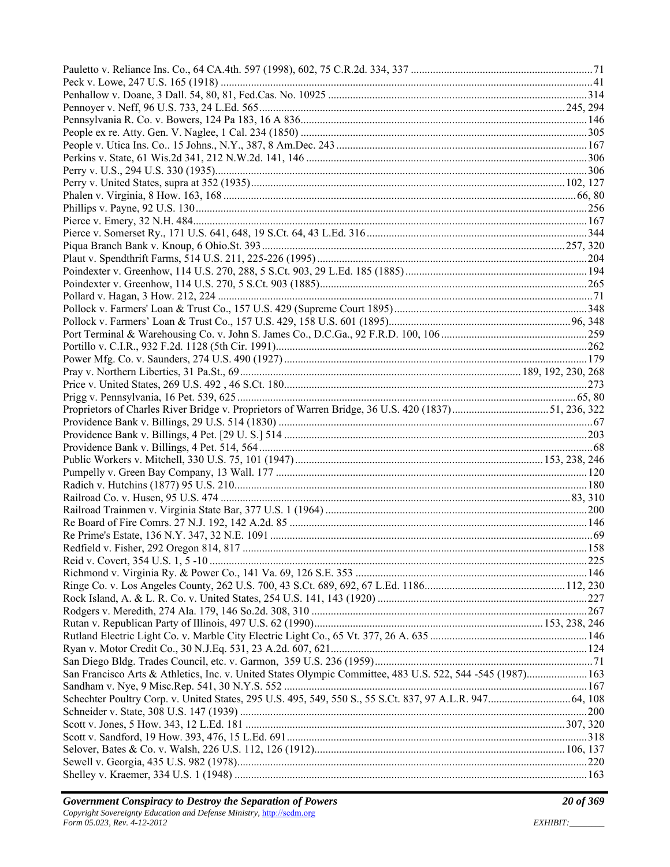| San Francisco Arts & Athletics, Inc. v. United States Olympic Committee, 483 U.S. 522, 544 -545 (1987) 163 |  |
|------------------------------------------------------------------------------------------------------------|--|
|                                                                                                            |  |
| Schechter Poultry Corp. v. United States, 295 U.S. 495, 549, 550 S., 55 S.Ct. 837, 97 A.L.R. 947 64, 108   |  |
|                                                                                                            |  |
|                                                                                                            |  |
|                                                                                                            |  |
|                                                                                                            |  |
|                                                                                                            |  |
|                                                                                                            |  |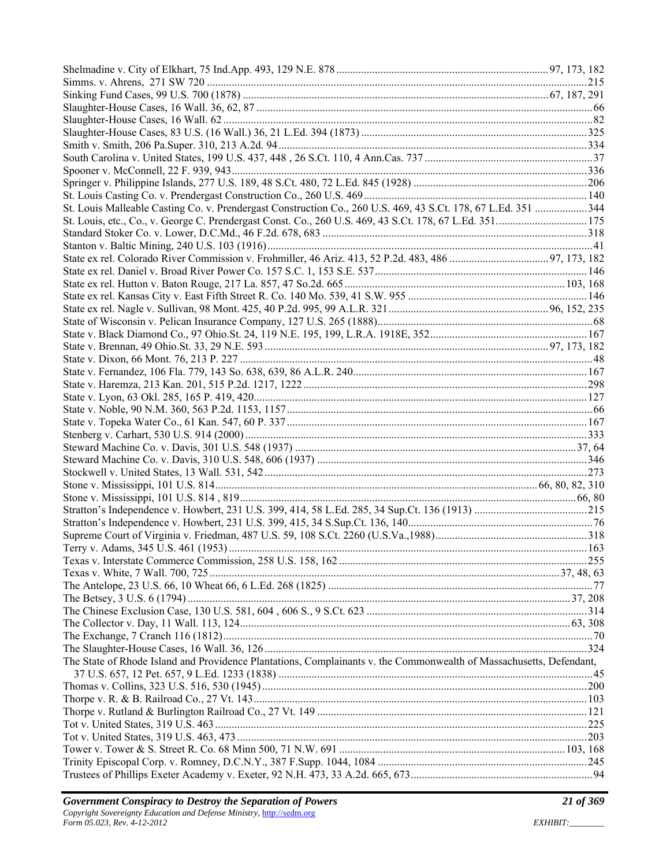| St. Louis Malleable Casting Co. v. Prendergast Construction Co., 260 U.S. 469, 43 S.Ct. 178, 67 L.Ed. 351 344       |  |
|---------------------------------------------------------------------------------------------------------------------|--|
| St. Louis, etc., Co., v. George C. Prendergast Const. Co., 260 U.S. 469, 43 S.Ct. 178, 67 L.Ed. 351 175             |  |
|                                                                                                                     |  |
|                                                                                                                     |  |
|                                                                                                                     |  |
|                                                                                                                     |  |
|                                                                                                                     |  |
|                                                                                                                     |  |
|                                                                                                                     |  |
|                                                                                                                     |  |
|                                                                                                                     |  |
|                                                                                                                     |  |
|                                                                                                                     |  |
|                                                                                                                     |  |
|                                                                                                                     |  |
|                                                                                                                     |  |
|                                                                                                                     |  |
|                                                                                                                     |  |
|                                                                                                                     |  |
|                                                                                                                     |  |
|                                                                                                                     |  |
|                                                                                                                     |  |
|                                                                                                                     |  |
|                                                                                                                     |  |
|                                                                                                                     |  |
|                                                                                                                     |  |
|                                                                                                                     |  |
|                                                                                                                     |  |
|                                                                                                                     |  |
|                                                                                                                     |  |
|                                                                                                                     |  |
|                                                                                                                     |  |
|                                                                                                                     |  |
|                                                                                                                     |  |
|                                                                                                                     |  |
|                                                                                                                     |  |
| The State of Rhode Island and Providence Plantations, Complainants v. the Commonwealth of Massachusetts, Defendant, |  |
|                                                                                                                     |  |
|                                                                                                                     |  |
|                                                                                                                     |  |
|                                                                                                                     |  |
|                                                                                                                     |  |
|                                                                                                                     |  |
|                                                                                                                     |  |
|                                                                                                                     |  |
|                                                                                                                     |  |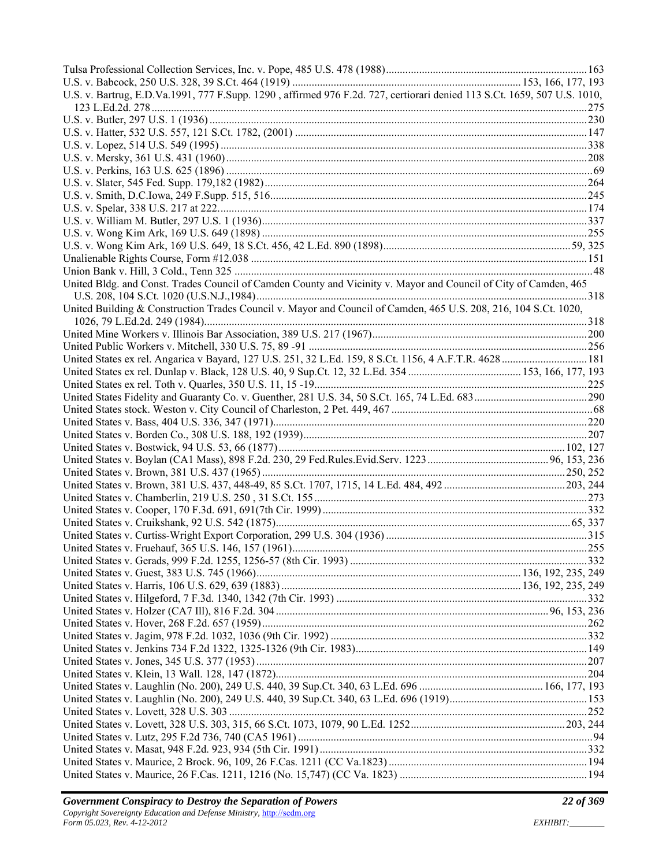| U.S. v. Bartrug, E.D.Va.1991, 777 F.Supp. 1290, affirmed 976 F.2d. 727, certiorari denied 113 S.Ct. 1659, 507 U.S. 1010,<br>United Bldg. and Const. Trades Council of Camden County and Vicinity v. Mayor and Council of City of Camden, 465<br>United Building & Construction Trades Council v. Mayor and Council of Camden, 465 U.S. 208, 216, 104 S.Ct. 1020,<br>United States ex rel. Angarica v Bayard, 127 U.S. 251, 32 L.Ed. 159, 8 S.Ct. 1156, 4 A.F.T.R. 4628  181 |  |
|-----------------------------------------------------------------------------------------------------------------------------------------------------------------------------------------------------------------------------------------------------------------------------------------------------------------------------------------------------------------------------------------------------------------------------------------------------------------------------|--|
|                                                                                                                                                                                                                                                                                                                                                                                                                                                                             |  |
|                                                                                                                                                                                                                                                                                                                                                                                                                                                                             |  |
|                                                                                                                                                                                                                                                                                                                                                                                                                                                                             |  |
|                                                                                                                                                                                                                                                                                                                                                                                                                                                                             |  |
|                                                                                                                                                                                                                                                                                                                                                                                                                                                                             |  |
|                                                                                                                                                                                                                                                                                                                                                                                                                                                                             |  |
|                                                                                                                                                                                                                                                                                                                                                                                                                                                                             |  |
|                                                                                                                                                                                                                                                                                                                                                                                                                                                                             |  |
|                                                                                                                                                                                                                                                                                                                                                                                                                                                                             |  |
|                                                                                                                                                                                                                                                                                                                                                                                                                                                                             |  |
|                                                                                                                                                                                                                                                                                                                                                                                                                                                                             |  |
|                                                                                                                                                                                                                                                                                                                                                                                                                                                                             |  |
|                                                                                                                                                                                                                                                                                                                                                                                                                                                                             |  |
|                                                                                                                                                                                                                                                                                                                                                                                                                                                                             |  |
|                                                                                                                                                                                                                                                                                                                                                                                                                                                                             |  |
|                                                                                                                                                                                                                                                                                                                                                                                                                                                                             |  |
|                                                                                                                                                                                                                                                                                                                                                                                                                                                                             |  |
|                                                                                                                                                                                                                                                                                                                                                                                                                                                                             |  |
|                                                                                                                                                                                                                                                                                                                                                                                                                                                                             |  |
|                                                                                                                                                                                                                                                                                                                                                                                                                                                                             |  |
|                                                                                                                                                                                                                                                                                                                                                                                                                                                                             |  |
|                                                                                                                                                                                                                                                                                                                                                                                                                                                                             |  |
|                                                                                                                                                                                                                                                                                                                                                                                                                                                                             |  |
|                                                                                                                                                                                                                                                                                                                                                                                                                                                                             |  |
|                                                                                                                                                                                                                                                                                                                                                                                                                                                                             |  |
|                                                                                                                                                                                                                                                                                                                                                                                                                                                                             |  |
|                                                                                                                                                                                                                                                                                                                                                                                                                                                                             |  |
|                                                                                                                                                                                                                                                                                                                                                                                                                                                                             |  |
|                                                                                                                                                                                                                                                                                                                                                                                                                                                                             |  |
|                                                                                                                                                                                                                                                                                                                                                                                                                                                                             |  |
|                                                                                                                                                                                                                                                                                                                                                                                                                                                                             |  |
|                                                                                                                                                                                                                                                                                                                                                                                                                                                                             |  |
|                                                                                                                                                                                                                                                                                                                                                                                                                                                                             |  |
|                                                                                                                                                                                                                                                                                                                                                                                                                                                                             |  |
|                                                                                                                                                                                                                                                                                                                                                                                                                                                                             |  |
|                                                                                                                                                                                                                                                                                                                                                                                                                                                                             |  |
|                                                                                                                                                                                                                                                                                                                                                                                                                                                                             |  |
|                                                                                                                                                                                                                                                                                                                                                                                                                                                                             |  |
|                                                                                                                                                                                                                                                                                                                                                                                                                                                                             |  |
|                                                                                                                                                                                                                                                                                                                                                                                                                                                                             |  |
|                                                                                                                                                                                                                                                                                                                                                                                                                                                                             |  |
|                                                                                                                                                                                                                                                                                                                                                                                                                                                                             |  |
|                                                                                                                                                                                                                                                                                                                                                                                                                                                                             |  |
|                                                                                                                                                                                                                                                                                                                                                                                                                                                                             |  |
|                                                                                                                                                                                                                                                                                                                                                                                                                                                                             |  |
|                                                                                                                                                                                                                                                                                                                                                                                                                                                                             |  |
|                                                                                                                                                                                                                                                                                                                                                                                                                                                                             |  |
|                                                                                                                                                                                                                                                                                                                                                                                                                                                                             |  |
|                                                                                                                                                                                                                                                                                                                                                                                                                                                                             |  |
|                                                                                                                                                                                                                                                                                                                                                                                                                                                                             |  |
|                                                                                                                                                                                                                                                                                                                                                                                                                                                                             |  |
|                                                                                                                                                                                                                                                                                                                                                                                                                                                                             |  |
|                                                                                                                                                                                                                                                                                                                                                                                                                                                                             |  |
|                                                                                                                                                                                                                                                                                                                                                                                                                                                                             |  |
|                                                                                                                                                                                                                                                                                                                                                                                                                                                                             |  |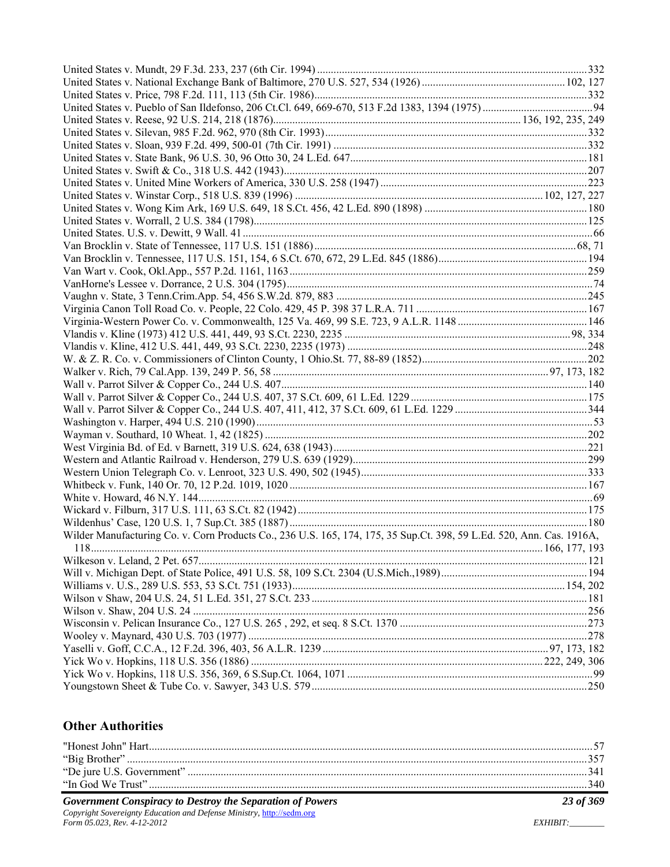| Wilder Manufacturing Co. v. Corn Products Co., 236 U.S. 165, 174, 175, 35 Sup.Ct. 398, 59 L.Ed. 520, Ann. Cas. 1916A, |  |
|-----------------------------------------------------------------------------------------------------------------------|--|
|                                                                                                                       |  |
|                                                                                                                       |  |
|                                                                                                                       |  |
|                                                                                                                       |  |
|                                                                                                                       |  |
|                                                                                                                       |  |
|                                                                                                                       |  |
|                                                                                                                       |  |
|                                                                                                                       |  |
|                                                                                                                       |  |
|                                                                                                                       |  |
|                                                                                                                       |  |

#### **Other Authorities**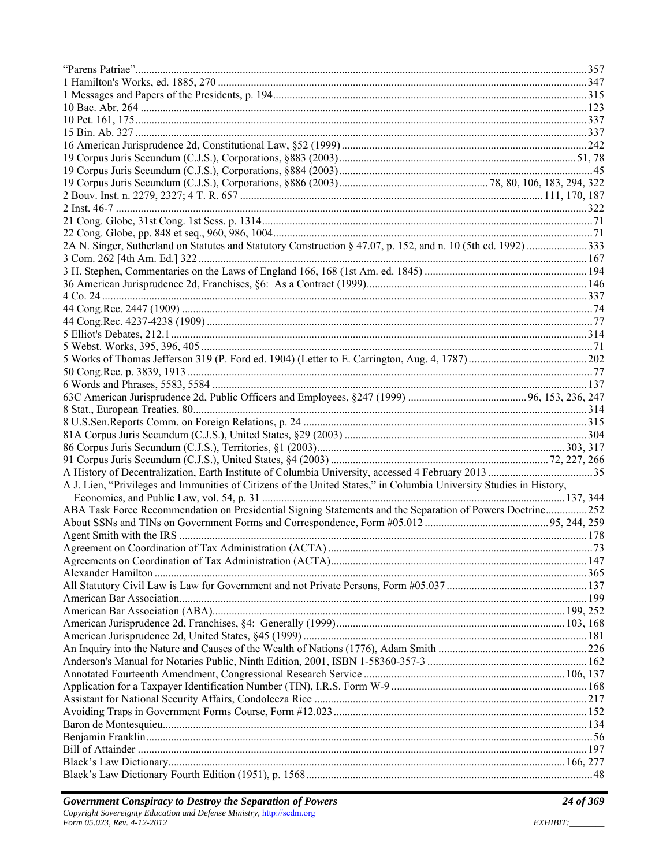| 2A N. Singer, Sutherland on Statutes and Statutory Construction § 47.07, p. 152, and n. 10 (5th ed. 1992) 333       |  |
|---------------------------------------------------------------------------------------------------------------------|--|
|                                                                                                                     |  |
|                                                                                                                     |  |
|                                                                                                                     |  |
|                                                                                                                     |  |
|                                                                                                                     |  |
|                                                                                                                     |  |
|                                                                                                                     |  |
|                                                                                                                     |  |
|                                                                                                                     |  |
|                                                                                                                     |  |
|                                                                                                                     |  |
|                                                                                                                     |  |
|                                                                                                                     |  |
|                                                                                                                     |  |
|                                                                                                                     |  |
|                                                                                                                     |  |
|                                                                                                                     |  |
|                                                                                                                     |  |
| A J. Lien, "Privileges and Immunities of Citizens of the United States," in Columbia University Studies in History, |  |
|                                                                                                                     |  |
| ABA Task Force Recommendation on Presidential Signing Statements and the Separation of Powers Doctrine252           |  |
|                                                                                                                     |  |
|                                                                                                                     |  |
|                                                                                                                     |  |
|                                                                                                                     |  |
|                                                                                                                     |  |
|                                                                                                                     |  |
|                                                                                                                     |  |
|                                                                                                                     |  |
|                                                                                                                     |  |
|                                                                                                                     |  |
|                                                                                                                     |  |
|                                                                                                                     |  |
|                                                                                                                     |  |
|                                                                                                                     |  |
|                                                                                                                     |  |
|                                                                                                                     |  |
|                                                                                                                     |  |
|                                                                                                                     |  |
|                                                                                                                     |  |
|                                                                                                                     |  |
|                                                                                                                     |  |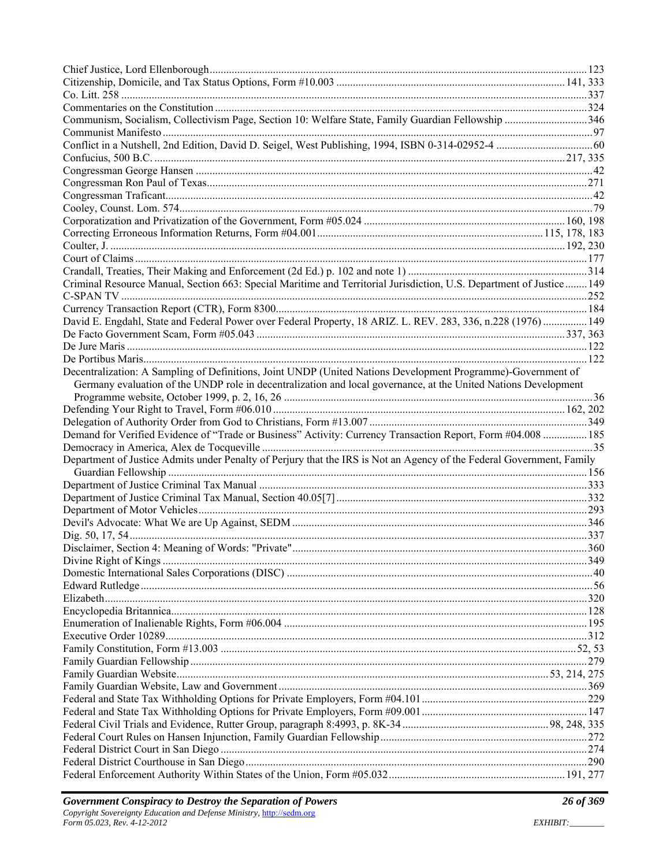| Communism, Socialism, Collectivism Page, Section 10: Welfare State, Family Guardian Fellowship 346                    |  |
|-----------------------------------------------------------------------------------------------------------------------|--|
|                                                                                                                       |  |
|                                                                                                                       |  |
|                                                                                                                       |  |
|                                                                                                                       |  |
|                                                                                                                       |  |
|                                                                                                                       |  |
|                                                                                                                       |  |
|                                                                                                                       |  |
|                                                                                                                       |  |
|                                                                                                                       |  |
|                                                                                                                       |  |
|                                                                                                                       |  |
| Criminal Resource Manual, Section 663: Special Maritime and Territorial Jurisdiction, U.S. Department of Justice 149  |  |
|                                                                                                                       |  |
|                                                                                                                       |  |
| David E. Engdahl, State and Federal Power over Federal Property, 18 ARIZ. L. REV. 283, 336, n.228 (1976)  149         |  |
|                                                                                                                       |  |
|                                                                                                                       |  |
|                                                                                                                       |  |
| Decentralization: A Sampling of Definitions, Joint UNDP (United Nations Development Programme)-Government of          |  |
| Germany evaluation of the UNDP role in decentralization and local governance, at the United Nations Development       |  |
|                                                                                                                       |  |
|                                                                                                                       |  |
|                                                                                                                       |  |
| Demand for Verified Evidence of "Trade or Business" Activity: Currency Transaction Report, Form #04.008  185          |  |
|                                                                                                                       |  |
| Department of Justice Admits under Penalty of Perjury that the IRS is Not an Agency of the Federal Government, Family |  |
|                                                                                                                       |  |
|                                                                                                                       |  |
|                                                                                                                       |  |
|                                                                                                                       |  |
|                                                                                                                       |  |
|                                                                                                                       |  |
|                                                                                                                       |  |
|                                                                                                                       |  |
|                                                                                                                       |  |
|                                                                                                                       |  |
|                                                                                                                       |  |
|                                                                                                                       |  |
|                                                                                                                       |  |
|                                                                                                                       |  |
|                                                                                                                       |  |
|                                                                                                                       |  |
|                                                                                                                       |  |
|                                                                                                                       |  |
|                                                                                                                       |  |
|                                                                                                                       |  |
|                                                                                                                       |  |
|                                                                                                                       |  |
|                                                                                                                       |  |
|                                                                                                                       |  |
|                                                                                                                       |  |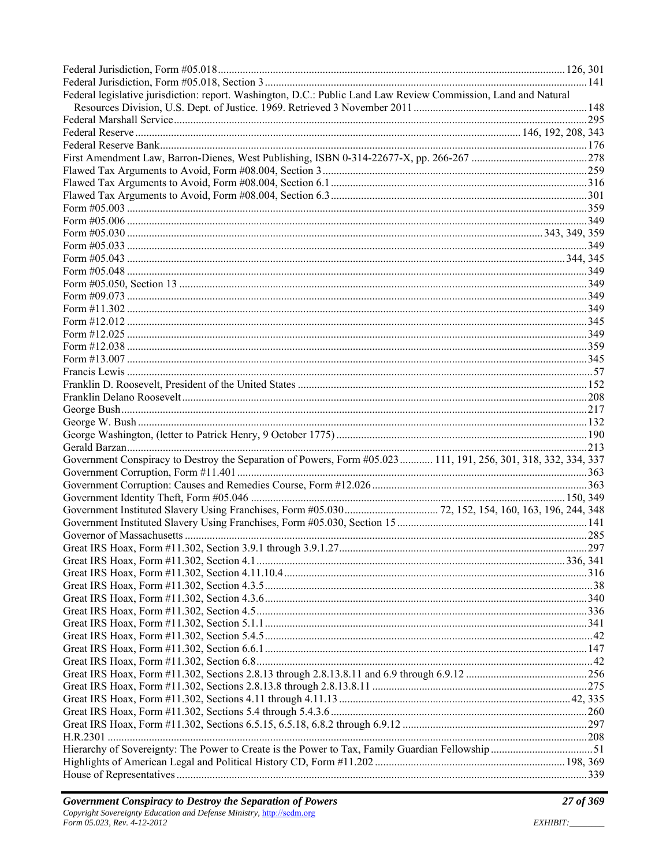| Federal legislative jurisdiction: report. Washington, D.C.: Public Land Law Review Commission, Land and Natural |  |
|-----------------------------------------------------------------------------------------------------------------|--|
|                                                                                                                 |  |
|                                                                                                                 |  |
|                                                                                                                 |  |
|                                                                                                                 |  |
|                                                                                                                 |  |
|                                                                                                                 |  |
|                                                                                                                 |  |
|                                                                                                                 |  |
|                                                                                                                 |  |
|                                                                                                                 |  |
|                                                                                                                 |  |
|                                                                                                                 |  |
|                                                                                                                 |  |
|                                                                                                                 |  |
|                                                                                                                 |  |
|                                                                                                                 |  |
|                                                                                                                 |  |
|                                                                                                                 |  |
|                                                                                                                 |  |
|                                                                                                                 |  |
|                                                                                                                 |  |
|                                                                                                                 |  |
|                                                                                                                 |  |
|                                                                                                                 |  |
|                                                                                                                 |  |
|                                                                                                                 |  |
|                                                                                                                 |  |
|                                                                                                                 |  |
| Government Conspiracy to Destroy the Separation of Powers, Form #05.023  111, 191, 256, 301, 318, 332, 334, 337 |  |
|                                                                                                                 |  |
|                                                                                                                 |  |
|                                                                                                                 |  |
|                                                                                                                 |  |
|                                                                                                                 |  |
|                                                                                                                 |  |
|                                                                                                                 |  |
|                                                                                                                 |  |
|                                                                                                                 |  |
|                                                                                                                 |  |
|                                                                                                                 |  |
|                                                                                                                 |  |
|                                                                                                                 |  |
|                                                                                                                 |  |
|                                                                                                                 |  |
|                                                                                                                 |  |
|                                                                                                                 |  |
|                                                                                                                 |  |
|                                                                                                                 |  |
|                                                                                                                 |  |
|                                                                                                                 |  |
|                                                                                                                 |  |
|                                                                                                                 |  |
|                                                                                                                 |  |
|                                                                                                                 |  |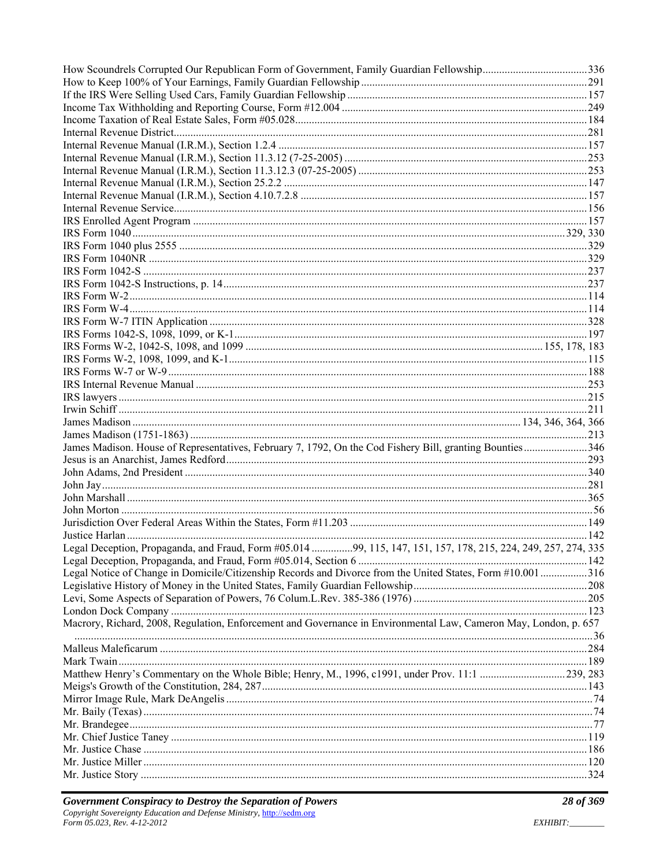| How Scoundrels Corrupted Our Republican Form of Government, Family Guardian Fellowship336                        |  |
|------------------------------------------------------------------------------------------------------------------|--|
|                                                                                                                  |  |
|                                                                                                                  |  |
|                                                                                                                  |  |
|                                                                                                                  |  |
|                                                                                                                  |  |
|                                                                                                                  |  |
|                                                                                                                  |  |
|                                                                                                                  |  |
|                                                                                                                  |  |
|                                                                                                                  |  |
|                                                                                                                  |  |
|                                                                                                                  |  |
|                                                                                                                  |  |
|                                                                                                                  |  |
|                                                                                                                  |  |
|                                                                                                                  |  |
|                                                                                                                  |  |
|                                                                                                                  |  |
|                                                                                                                  |  |
|                                                                                                                  |  |
|                                                                                                                  |  |
|                                                                                                                  |  |
|                                                                                                                  |  |
|                                                                                                                  |  |
|                                                                                                                  |  |
|                                                                                                                  |  |
|                                                                                                                  |  |
|                                                                                                                  |  |
| James Madison. House of Representatives, February 7, 1792, On the Cod Fishery Bill, granting Bounties346         |  |
|                                                                                                                  |  |
|                                                                                                                  |  |
|                                                                                                                  |  |
|                                                                                                                  |  |
|                                                                                                                  |  |
|                                                                                                                  |  |
|                                                                                                                  |  |
| Legal Deception, Propaganda, and Fraud, Form #05.014 99, 115, 147, 151, 157, 178, 215, 224, 249, 257, 274, 335   |  |
|                                                                                                                  |  |
| Legal Notice of Change in Domicile/Citizenship Records and Divorce from the United States, Form #10.001316       |  |
|                                                                                                                  |  |
|                                                                                                                  |  |
|                                                                                                                  |  |
| Macrory, Richard, 2008, Regulation, Enforcement and Governance in Environmental Law, Cameron May, London, p. 657 |  |
|                                                                                                                  |  |
|                                                                                                                  |  |
|                                                                                                                  |  |
|                                                                                                                  |  |
|                                                                                                                  |  |
|                                                                                                                  |  |
|                                                                                                                  |  |
|                                                                                                                  |  |
|                                                                                                                  |  |
|                                                                                                                  |  |
|                                                                                                                  |  |
|                                                                                                                  |  |
|                                                                                                                  |  |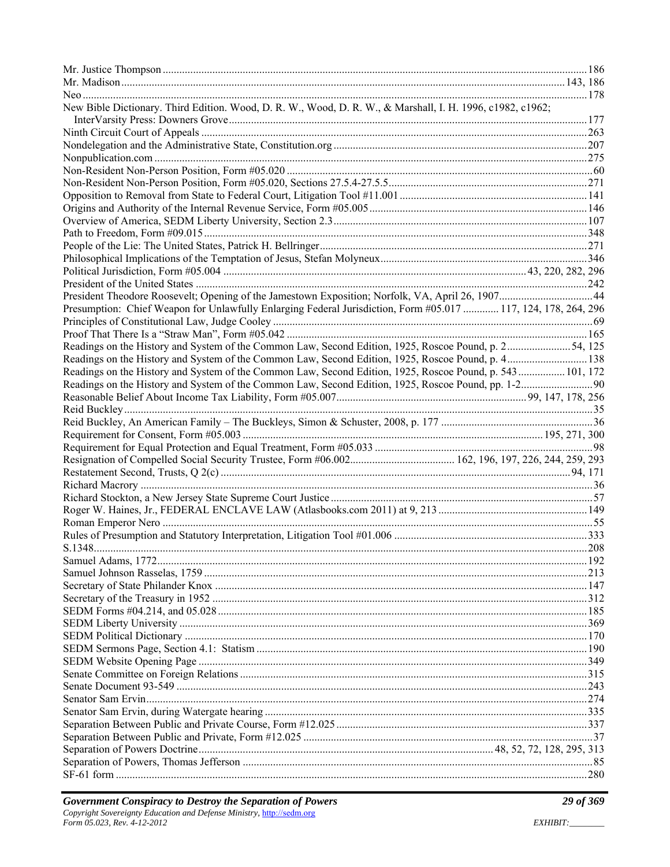| New Bible Dictionary. Third Edition. Wood, D. R. W., Wood, D. R. W., & Marshall, I. H. 1996, c1982, c1962;     |  |
|----------------------------------------------------------------------------------------------------------------|--|
|                                                                                                                |  |
|                                                                                                                |  |
|                                                                                                                |  |
|                                                                                                                |  |
|                                                                                                                |  |
|                                                                                                                |  |
|                                                                                                                |  |
|                                                                                                                |  |
|                                                                                                                |  |
|                                                                                                                |  |
|                                                                                                                |  |
|                                                                                                                |  |
|                                                                                                                |  |
| President Theodore Roosevelt; Opening of the Jamestown Exposition; Norfolk, VA, April 26, 190744               |  |
| Presumption: Chief Weapon for Unlawfully Enlarging Federal Jurisdiction, Form #05.017  117, 124, 178, 264, 296 |  |
|                                                                                                                |  |
|                                                                                                                |  |
| Readings on the History and System of the Common Law, Second Edition, 1925, Roscoe Pound, p. 254, 125          |  |
| Readings on the History and System of the Common Law, Second Edition, 1925, Roscoe Pound, p. 4138              |  |
| Readings on the History and System of the Common Law, Second Edition, 1925, Roscoe Pound, p. 543 101, 172      |  |
|                                                                                                                |  |
|                                                                                                                |  |
|                                                                                                                |  |
|                                                                                                                |  |
|                                                                                                                |  |
|                                                                                                                |  |
|                                                                                                                |  |
|                                                                                                                |  |
|                                                                                                                |  |
|                                                                                                                |  |
|                                                                                                                |  |
|                                                                                                                |  |
|                                                                                                                |  |
|                                                                                                                |  |
|                                                                                                                |  |
|                                                                                                                |  |
|                                                                                                                |  |
|                                                                                                                |  |
|                                                                                                                |  |
|                                                                                                                |  |
|                                                                                                                |  |
|                                                                                                                |  |
|                                                                                                                |  |
|                                                                                                                |  |
|                                                                                                                |  |
|                                                                                                                |  |
|                                                                                                                |  |
|                                                                                                                |  |
|                                                                                                                |  |
|                                                                                                                |  |
|                                                                                                                |  |
|                                                                                                                |  |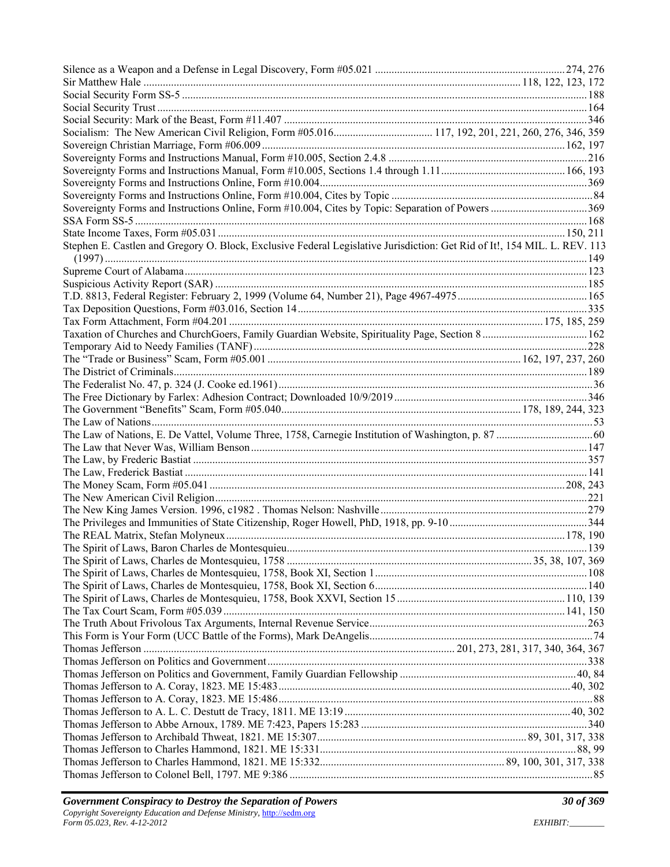| Stephen E. Castlen and Gregory O. Block, Exclusive Federal Legislative Jurisdiction: Get Rid of It!, 154 MIL. L. REV. 113 |  |
|---------------------------------------------------------------------------------------------------------------------------|--|
|                                                                                                                           |  |
|                                                                                                                           |  |
|                                                                                                                           |  |
|                                                                                                                           |  |
|                                                                                                                           |  |
| Taxation of Churches and ChurchGoers, Family Guardian Website, Spirituality Page, Section 8 162                           |  |
|                                                                                                                           |  |
|                                                                                                                           |  |
|                                                                                                                           |  |
|                                                                                                                           |  |
|                                                                                                                           |  |
|                                                                                                                           |  |
|                                                                                                                           |  |
|                                                                                                                           |  |
|                                                                                                                           |  |
|                                                                                                                           |  |
|                                                                                                                           |  |
|                                                                                                                           |  |
|                                                                                                                           |  |
|                                                                                                                           |  |
|                                                                                                                           |  |
|                                                                                                                           |  |
|                                                                                                                           |  |
|                                                                                                                           |  |
|                                                                                                                           |  |
|                                                                                                                           |  |
|                                                                                                                           |  |
|                                                                                                                           |  |
|                                                                                                                           |  |
|                                                                                                                           |  |
|                                                                                                                           |  |
|                                                                                                                           |  |
|                                                                                                                           |  |
|                                                                                                                           |  |
|                                                                                                                           |  |
|                                                                                                                           |  |
|                                                                                                                           |  |
|                                                                                                                           |  |
|                                                                                                                           |  |
|                                                                                                                           |  |
|                                                                                                                           |  |
|                                                                                                                           |  |
|                                                                                                                           |  |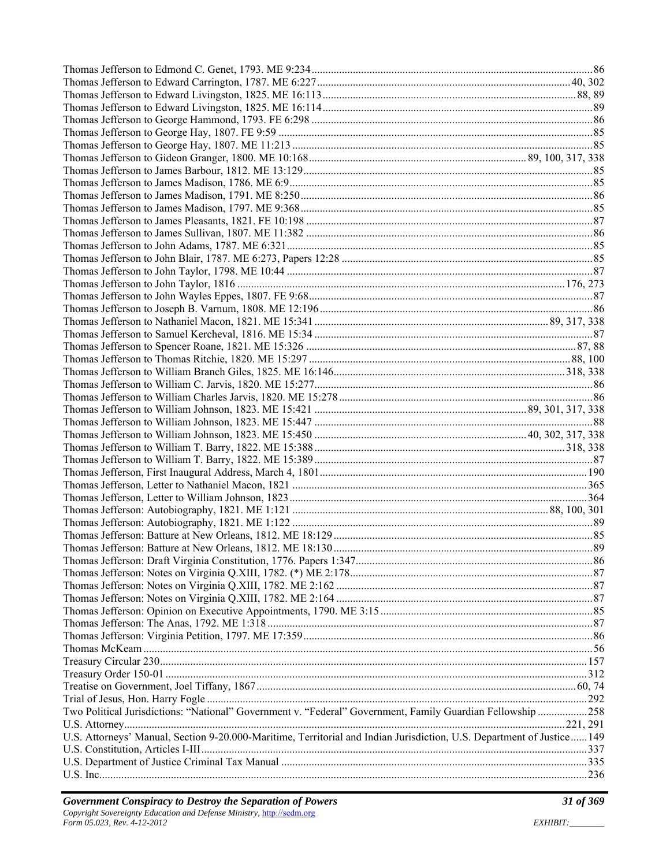| Two Political Jurisdictions: "National" Government v. "Federal" Government, Family Guardian Fellowship 258             |  |
|------------------------------------------------------------------------------------------------------------------------|--|
|                                                                                                                        |  |
| U.S. Attorneys' Manual, Section 9-20.000-Maritime, Territorial and Indian Jurisdiction, U.S. Department of Justice 149 |  |
|                                                                                                                        |  |
|                                                                                                                        |  |
|                                                                                                                        |  |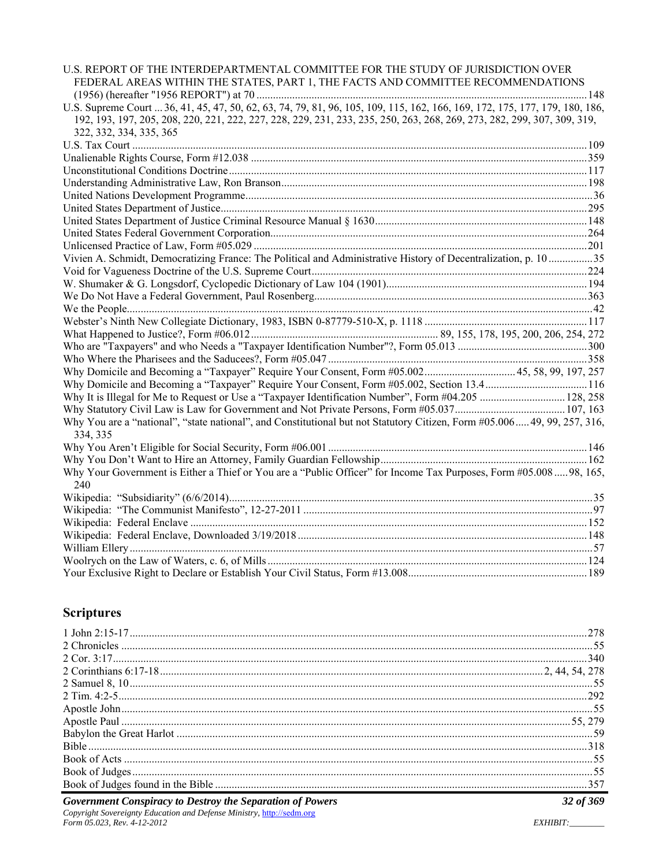| U.S. REPORT OF THE INTERDEPARTMENTAL COMMITTEE FOR THE STUDY OF JURISDICTION OVER<br>FEDERAL AREAS WITHIN THE STATES, PART 1, THE FACTS AND COMMITTEE RECOMMENDATIONS |  |
|-----------------------------------------------------------------------------------------------------------------------------------------------------------------------|--|
|                                                                                                                                                                       |  |
| U.S. Supreme Court  36, 41, 45, 47, 50, 62, 63, 74, 79, 81, 96, 105, 109, 115, 162, 166, 169, 172, 175, 177, 179, 180, 186,                                           |  |
| 192, 193, 197, 205, 208, 220, 221, 222, 227, 228, 229, 231, 233, 235, 250, 263, 268, 269, 273, 282, 299, 307, 309, 319,                                               |  |
| 322, 332, 334, 335, 365                                                                                                                                               |  |
|                                                                                                                                                                       |  |
|                                                                                                                                                                       |  |
|                                                                                                                                                                       |  |
|                                                                                                                                                                       |  |
|                                                                                                                                                                       |  |
|                                                                                                                                                                       |  |
|                                                                                                                                                                       |  |
|                                                                                                                                                                       |  |
|                                                                                                                                                                       |  |
| Vivien A. Schmidt, Democratizing France: The Political and Administrative History of Decentralization, p. 10 35                                                       |  |
|                                                                                                                                                                       |  |
|                                                                                                                                                                       |  |
|                                                                                                                                                                       |  |
|                                                                                                                                                                       |  |
|                                                                                                                                                                       |  |
|                                                                                                                                                                       |  |
|                                                                                                                                                                       |  |
|                                                                                                                                                                       |  |
| Why Domicile and Becoming a "Taxpayer" Require Your Consent, Form #05.002 45, 58, 99, 197, 257                                                                        |  |
| Why Domicile and Becoming a "Taxpayer" Require Your Consent, Form #05.002, Section 13.4116                                                                            |  |
| Why It is Illegal for Me to Request or Use a "Taxpayer Identification Number", Form #04.205  128, 258                                                                 |  |
|                                                                                                                                                                       |  |
| Why You are a "national", "state national", and Constitutional but not Statutory Citizen, Form #05.006 49, 99, 257, 316,<br>334, 335                                  |  |
|                                                                                                                                                                       |  |
|                                                                                                                                                                       |  |
| Why Your Government is Either a Thief or You are a "Public Officer" for Income Tax Purposes, Form #05.008  98, 165,<br>240                                            |  |
|                                                                                                                                                                       |  |
|                                                                                                                                                                       |  |
|                                                                                                                                                                       |  |
|                                                                                                                                                                       |  |
|                                                                                                                                                                       |  |
|                                                                                                                                                                       |  |
|                                                                                                                                                                       |  |
|                                                                                                                                                                       |  |

#### **Scriptures**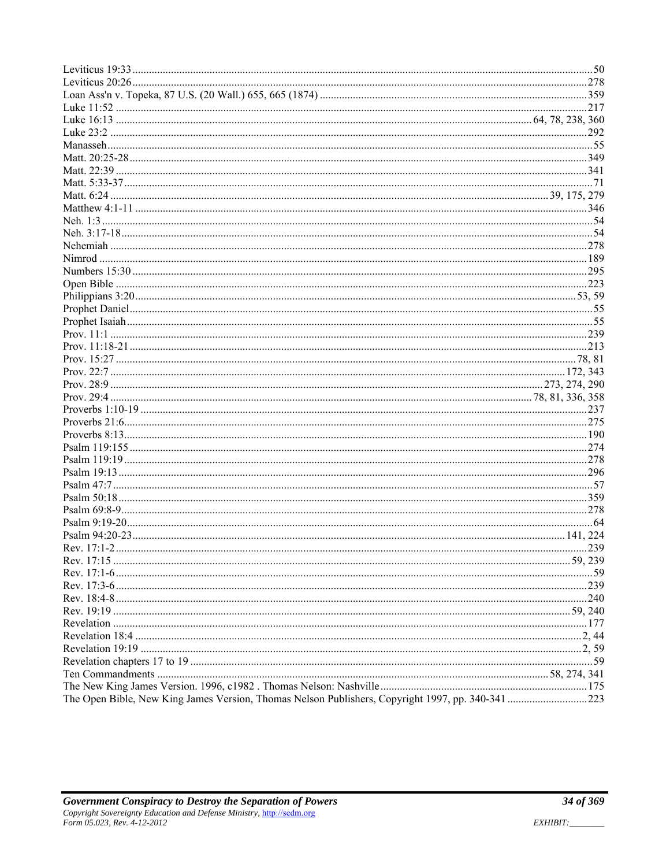|                                                                                                   | 239 |
|---------------------------------------------------------------------------------------------------|-----|
|                                                                                                   |     |
|                                                                                                   |     |
|                                                                                                   |     |
|                                                                                                   |     |
|                                                                                                   |     |
|                                                                                                   |     |
|                                                                                                   |     |
|                                                                                                   |     |
|                                                                                                   |     |
|                                                                                                   |     |
|                                                                                                   |     |
| The Open Bible, New King James Version, Thomas Nelson Publishers, Copyright 1997, pp. 340-341 223 |     |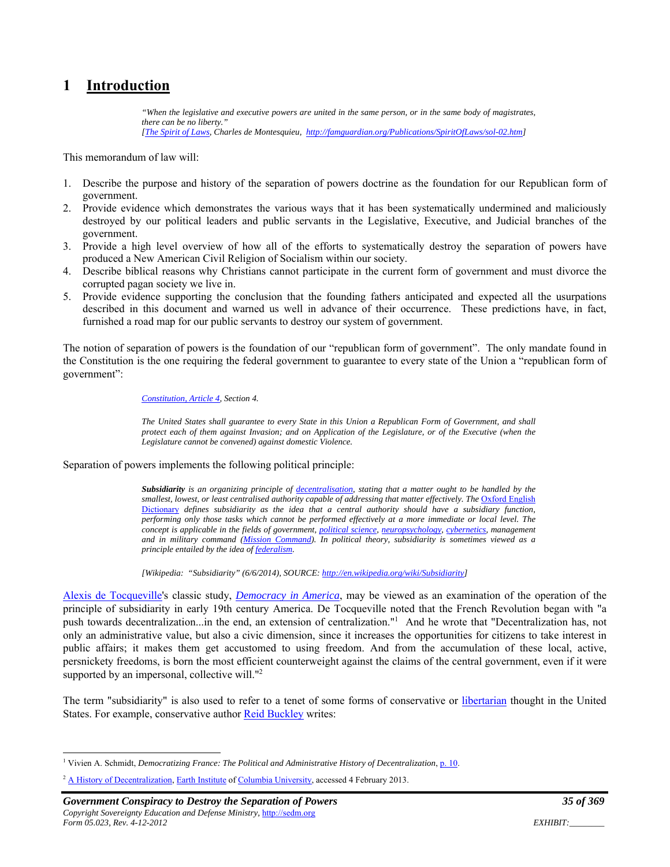### **1 Introduction**

*"When the legislative and executive powers are united in the same person, or in the same body of magistrates, there can be no liberty." [The Spirit of Laws, Charles de Montesquieu, http://famguardian.org/Publications/SpiritOfLaws/sol-02.htm]* 

This memorandum of law will:

- 1. Describe the purpose and history of the separation of powers doctrine as the foundation for our Republican form of government.
- 2. Provide evidence which demonstrates the various ways that it has been systematically undermined and maliciously destroyed by our political leaders and public servants in the Legislative, Executive, and Judicial branches of the government.
- 3. Provide a high level overview of how all of the efforts to systematically destroy the separation of powers have produced a New American Civil Religion of Socialism within our society.
- 4. Describe biblical reasons why Christians cannot participate in the current form of government and must divorce the corrupted pagan society we live in.
- 5. Provide evidence supporting the conclusion that the founding fathers anticipated and expected all the usurpations described in this document and warned us well in advance of their occurrence. These predictions have, in fact, furnished a road map for our public servants to destroy our system of government.

The notion of separation of powers is the foundation of our "republican form of government". The only mandate found in the Constitution is the one requiring the federal government to guarantee to every state of the Union a "republican form of government":

#### *Constitution, Article 4, Section 4.*

*The United States shall guarantee to every State in this Union a Republican Form of Government, and shall protect each of them against Invasion; and on Application of the Legislature, or of the Executive (when the Legislature cannot be convened) against domestic Violence.* 

#### Separation of powers implements the following political principle:

*Subsidiarity is an organizing principle of decentralisation, stating that a matter ought to be handled by the*  smallest, lowest, or least centralised authority capable of addressing that matter effectively. The Oxford English Dictionary *defines subsidiarity as the idea that a central authority should have a subsidiary function, performing only those tasks which cannot be performed effectively at a more immediate or local level. The concept is applicable in the fields of government, political science, neuropsychology, cybernetics, management and in military command (Mission Command). In political theory, subsidiarity is sometimes viewed as a principle entailed by the idea of federalism.* 

*[Wikipedia: "Subsidiarity" (6/6/2014), SOURCE: http://en.wikipedia.org/wiki/Subsidiarity]* 

Alexis de Tocqueville's classic study, *Democracy in America*, may be viewed as an examination of the operation of the principle of subsidiarity in early 19th century America. De Tocqueville noted that the French Revolution began with "a push towards decentralization...in the end, an extension of centralization."1 And he wrote that "Decentralization has, not only an administrative value, but also a civic dimension, since it increases the opportunities for citizens to take interest in public affairs; it makes them get accustomed to using freedom. And from the accumulation of these local, active, persnickety freedoms, is born the most efficient counterweight against the claims of the central government, even if it were supported by an impersonal, collective will."<sup>2</sup>

The term "subsidiarity" is also used to refer to a tenet of some forms of conservative or libertarian thought in the United States. For example, conservative author Reid Buckley writes:

<sup>&</sup>lt;sup>1</sup> Vivien A. Schmidt, *Democratizing France: The Political and Administrative History of Decentralization*, p. 10.

<sup>&</sup>lt;sup>2</sup> A History of Decentralization, Earth Institute of Columbia University, accessed 4 February 2013.